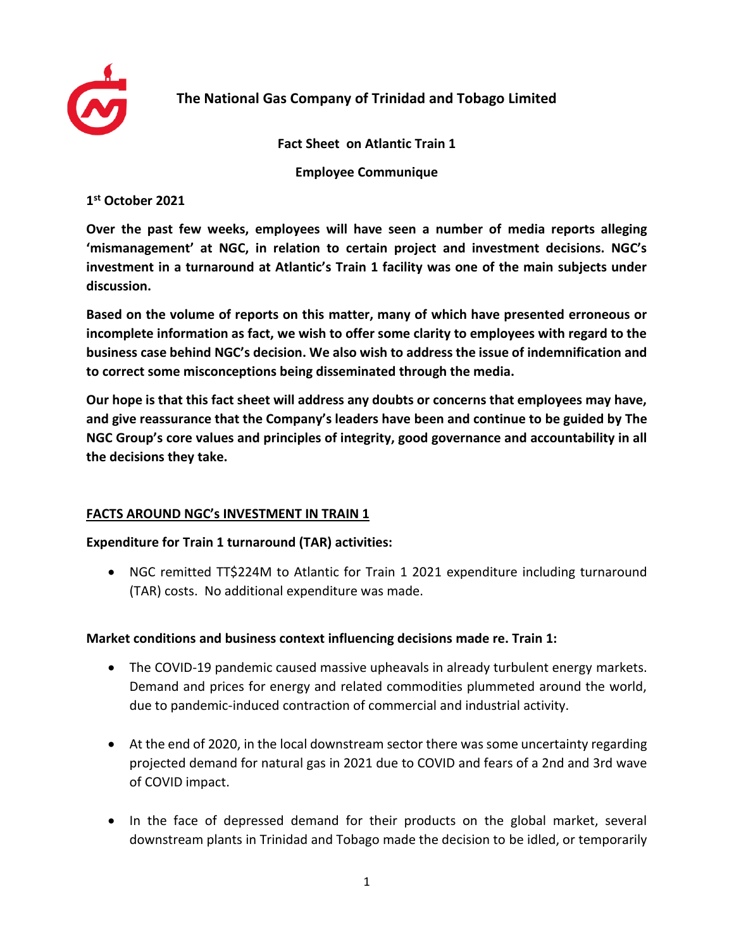

# **The National Gas Company of Trinidad and Tobago Limited**

**Fact Sheet on Atlantic Train 1**

**Employee Communique**

**1 st October 2021**

**Over the past few weeks, employees will have seen a number of media reports alleging 'mismanagement' at NGC, in relation to certain project and investment decisions. NGC's investment in a turnaround at Atlantic's Train 1 facility was one of the main subjects under discussion.** 

**Based on the volume of reports on this matter, many of which have presented erroneous or incomplete information as fact, we wish to offer some clarity to employees with regard to the business case behind NGC's decision. We also wish to address the issue of indemnification and to correct some misconceptions being disseminated through the media.**

**Our hope is that this fact sheet will address any doubts or concerns that employees may have, and give reassurance that the Company's leaders have been and continue to be guided by The NGC Group's core values and principles of integrity, good governance and accountability in all the decisions they take.** 

# **FACTS AROUND NGC's INVESTMENT IN TRAIN 1**

#### **Expenditure for Train 1 turnaround (TAR) activities:**

• NGC remitted TT\$224M to Atlantic for Train 1 2021 expenditure including turnaround (TAR) costs. No additional expenditure was made.

# **Market conditions and business context influencing decisions made re. Train 1:**

- The COVID-19 pandemic caused massive upheavals in already turbulent energy markets. Demand and prices for energy and related commodities plummeted around the world, due to pandemic-induced contraction of commercial and industrial activity.
- At the end of 2020, in the local downstream sector there was some uncertainty regarding projected demand for natural gas in 2021 due to COVID and fears of a 2nd and 3rd wave of COVID impact.
- In the face of depressed demand for their products on the global market, several downstream plants in Trinidad and Tobago made the decision to be idled, or temporarily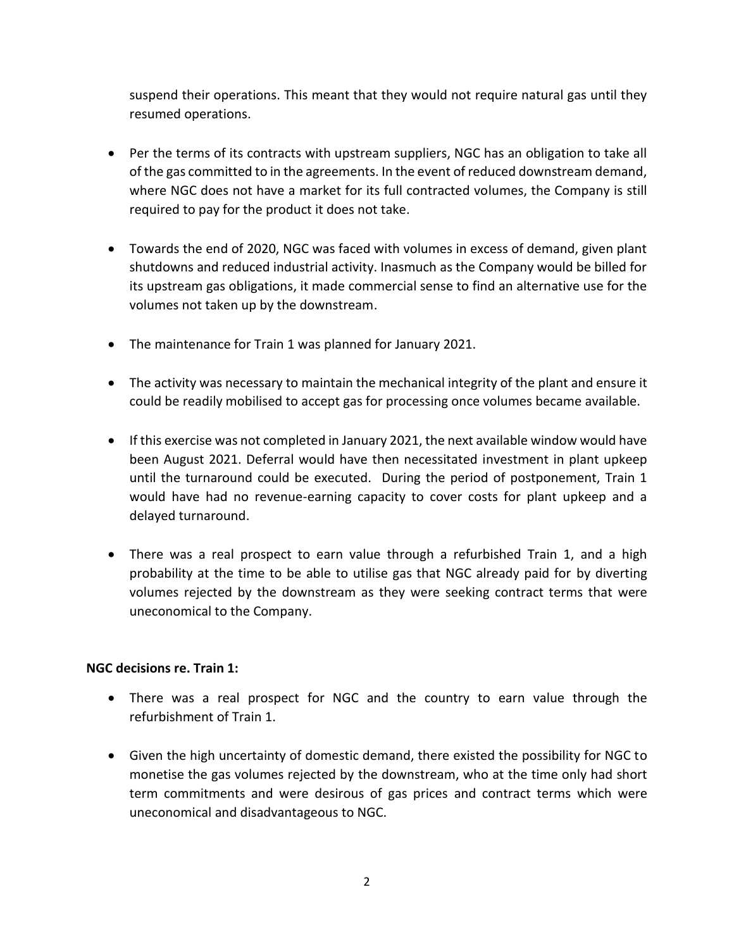suspend their operations. This meant that they would not require natural gas until they resumed operations.

- Per the terms of its contracts with upstream suppliers, NGC has an obligation to take all of the gas committed to in the agreements. In the event of reduced downstream demand, where NGC does not have a market for its full contracted volumes, the Company is still required to pay for the product it does not take.
- Towards the end of 2020, NGC was faced with volumes in excess of demand, given plant shutdowns and reduced industrial activity. Inasmuch as the Company would be billed for its upstream gas obligations, it made commercial sense to find an alternative use for the volumes not taken up by the downstream.
- The maintenance for Train 1 was planned for January 2021.
- The activity was necessary to maintain the mechanical integrity of the plant and ensure it could be readily mobilised to accept gas for processing once volumes became available.
- If this exercise was not completed in January 2021, the next available window would have been August 2021. Deferral would have then necessitated investment in plant upkeep until the turnaround could be executed. During the period of postponement, Train 1 would have had no revenue-earning capacity to cover costs for plant upkeep and a delayed turnaround.
- There was a real prospect to earn value through a refurbished Train 1, and a high probability at the time to be able to utilise gas that NGC already paid for by diverting volumes rejected by the downstream as they were seeking contract terms that were uneconomical to the Company.

# **NGC decisions re. Train 1:**

- There was a real prospect for NGC and the country to earn value through the refurbishment of Train 1.
- Given the high uncertainty of domestic demand, there existed the possibility for NGC to monetise the gas volumes rejected by the downstream, who at the time only had short term commitments and were desirous of gas prices and contract terms which were uneconomical and disadvantageous to NGC.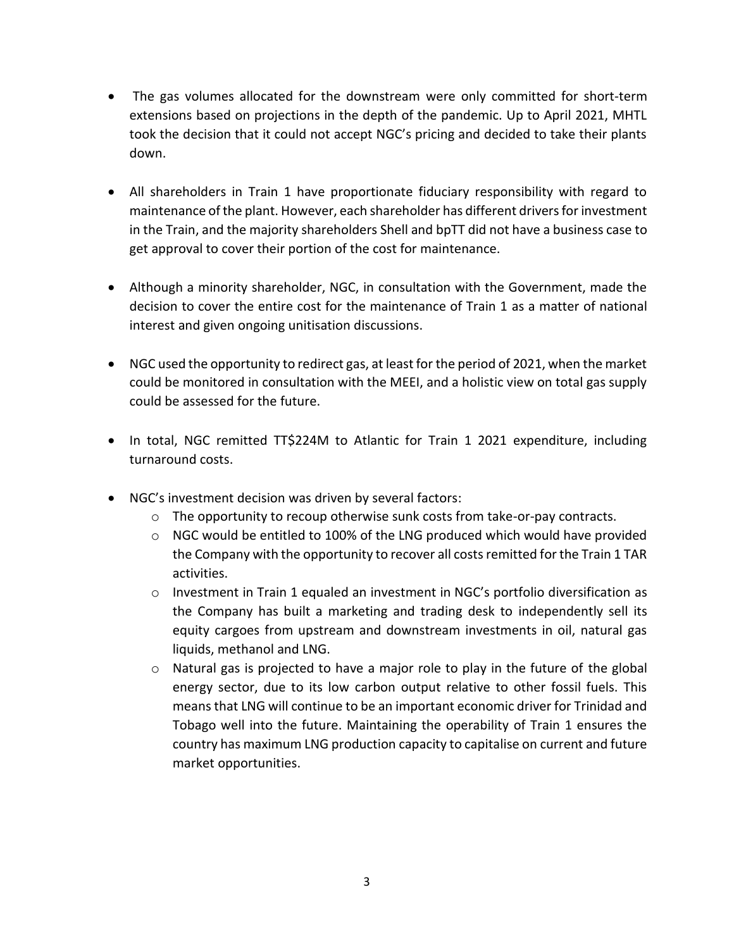- The gas volumes allocated for the downstream were only committed for short-term extensions based on projections in the depth of the pandemic. Up to April 2021, MHTL took the decision that it could not accept NGC's pricing and decided to take their plants down.
- All shareholders in Train 1 have proportionate fiduciary responsibility with regard to maintenance of the plant. However, each shareholder has different drivers for investment in the Train, and the majority shareholders Shell and bpTT did not have a business case to get approval to cover their portion of the cost for maintenance.
- Although a minority shareholder, NGC, in consultation with the Government, made the decision to cover the entire cost for the maintenance of Train 1 as a matter of national interest and given ongoing unitisation discussions.
- NGC used the opportunity to redirect gas, at least for the period of 2021, when the market could be monitored in consultation with the MEEI, and a holistic view on total gas supply could be assessed for the future.
- In total, NGC remitted TT\$224M to Atlantic for Train 1 2021 expenditure, including turnaround costs.
- NGC's investment decision was driven by several factors:
	- $\circ$  The opportunity to recoup otherwise sunk costs from take-or-pay contracts.
	- $\circ$  NGC would be entitled to 100% of the LNG produced which would have provided the Company with the opportunity to recover all costs remitted for the Train 1 TAR activities.
	- o Investment in Train 1 equaled an investment in NGC's portfolio diversification as the Company has built a marketing and trading desk to independently sell its equity cargoes from upstream and downstream investments in oil, natural gas liquids, methanol and LNG.
	- o Natural gas is projected to have a major role to play in the future of the global energy sector, due to its low carbon output relative to other fossil fuels. This means that LNG will continue to be an important economic driver for Trinidad and Tobago well into the future. Maintaining the operability of Train 1 ensures the country has maximum LNG production capacity to capitalise on current and future market opportunities.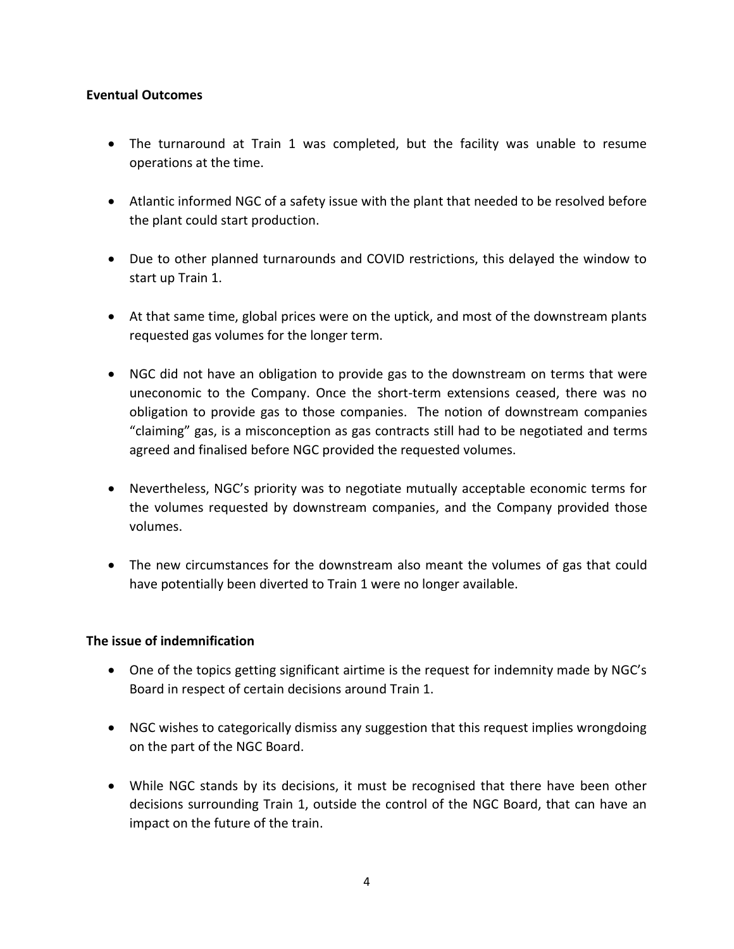#### **Eventual Outcomes**

- The turnaround at Train 1 was completed, but the facility was unable to resume operations at the time.
- Atlantic informed NGC of a safety issue with the plant that needed to be resolved before the plant could start production.
- Due to other planned turnarounds and COVID restrictions, this delayed the window to start up Train 1.
- At that same time, global prices were on the uptick, and most of the downstream plants requested gas volumes for the longer term.
- NGC did not have an obligation to provide gas to the downstream on terms that were uneconomic to the Company. Once the short-term extensions ceased, there was no obligation to provide gas to those companies. The notion of downstream companies "claiming" gas, is a misconception as gas contracts still had to be negotiated and terms agreed and finalised before NGC provided the requested volumes.
- Nevertheless, NGC's priority was to negotiate mutually acceptable economic terms for the volumes requested by downstream companies, and the Company provided those volumes.
- The new circumstances for the downstream also meant the volumes of gas that could have potentially been diverted to Train 1 were no longer available.

#### **The issue of indemnification**

- One of the topics getting significant airtime is the request for indemnity made by NGC's Board in respect of certain decisions around Train 1.
- NGC wishes to categorically dismiss any suggestion that this request implies wrongdoing on the part of the NGC Board.
- While NGC stands by its decisions, it must be recognised that there have been other decisions surrounding Train 1, outside the control of the NGC Board, that can have an impact on the future of the train.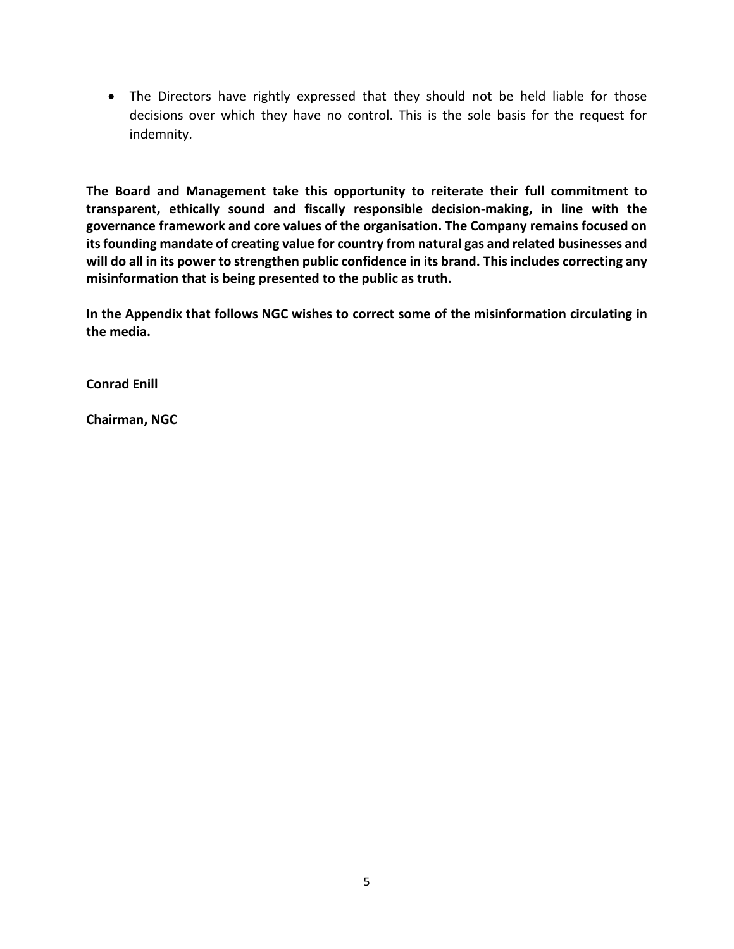• The Directors have rightly expressed that they should not be held liable for those decisions over which they have no control. This is the sole basis for the request for indemnity.

**The Board and Management take this opportunity to reiterate their full commitment to transparent, ethically sound and fiscally responsible decision-making, in line with the governance framework and core values of the organisation. The Company remains focused on its founding mandate of creating value for country from natural gas and related businesses and will do all in its power to strengthen public confidence in its brand. This includes correcting any misinformation that is being presented to the public as truth.**

**In the Appendix that follows NGC wishes to correct some of the misinformation circulating in the media.** 

**Conrad Enill**

**Chairman, NGC**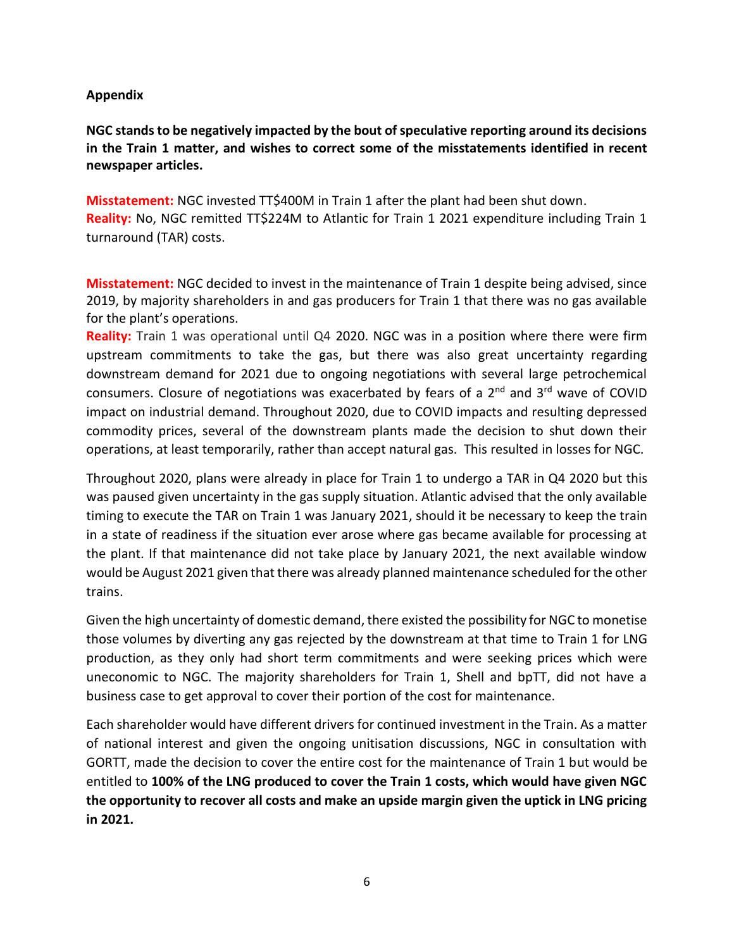### **Appendix**

**NGC stands to be negatively impacted by the bout of speculative reporting around its decisions in the Train 1 matter, and wishes to correct some of the misstatements identified in recent newspaper articles.**

**Misstatement:** NGC invested TT\$400M in Train 1 after the plant had been shut down. **Reality:** No, NGC remitted TT\$224M to Atlantic for Train 1 2021 expenditure including Train 1 turnaround (TAR) costs.

**Misstatement:** NGC decided to invest in the maintenance of Train 1 despite being advised, since 2019, by majority shareholders in and gas producers for Train 1 that there was no gas available for the plant's operations.

**Reality:** Train 1 was operational until Q4 2020. NGC was in a position where there were firm upstream commitments to take the gas, but there was also great uncertainty regarding downstream demand for 2021 due to ongoing negotiations with several large petrochemical consumers. Closure of negotiations was exacerbated by fears of a 2<sup>nd</sup> and 3<sup>rd</sup> wave of COVID impact on industrial demand. Throughout 2020, due to COVID impacts and resulting depressed commodity prices, several of the downstream plants made the decision to shut down their operations, at least temporarily, rather than accept natural gas. This resulted in losses for NGC.

Throughout 2020, plans were already in place for Train 1 to undergo a TAR in Q4 2020 but this was paused given uncertainty in the gas supply situation. Atlantic advised that the only available timing to execute the TAR on Train 1 was January 2021, should it be necessary to keep the train in a state of readiness if the situation ever arose where gas became available for processing at the plant. If that maintenance did not take place by January 2021, the next available window would be August 2021 given that there was already planned maintenance scheduled for the other trains.

Given the high uncertainty of domestic demand, there existed the possibility for NGC to monetise those volumes by diverting any gas rejected by the downstream at that time to Train 1 for LNG production, as they only had short term commitments and were seeking prices which were uneconomic to NGC. The majority shareholders for Train 1, Shell and bpTT, did not have a business case to get approval to cover their portion of the cost for maintenance.

Each shareholder would have different drivers for continued investment in the Train. As a matter of national interest and given the ongoing unitisation discussions, NGC in consultation with GORTT, made the decision to cover the entire cost for the maintenance of Train 1 but would be entitled to **100% of the LNG produced to cover the Train 1 costs, which would have given NGC the opportunity to recover all costs and make an upside margin given the uptick in LNG pricing in 2021.**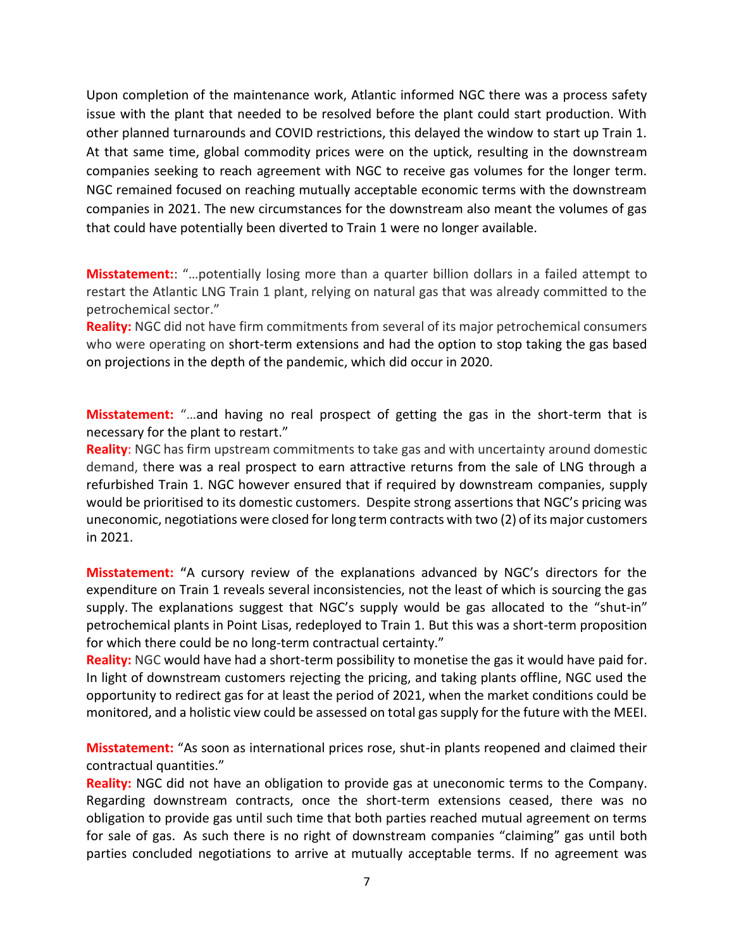Upon completion of the maintenance work, Atlantic informed NGC there was a process safety issue with the plant that needed to be resolved before the plant could start production. With other planned turnarounds and COVID restrictions, this delayed the window to start up Train 1. At that same time, global commodity prices were on the uptick, resulting in the downstream companies seeking to reach agreement with NGC to receive gas volumes for the longer term. NGC remained focused on reaching mutually acceptable economic terms with the downstream companies in 2021. The new circumstances for the downstream also meant the volumes of gas that could have potentially been diverted to Train 1 were no longer available.

**Misstatement:**: "…potentially losing more than a quarter billion dollars in a failed attempt to restart the Atlantic LNG Train 1 plant, relying on natural gas that was already committed to the petrochemical sector."

**Reality:** NGC did not have firm commitments from several of its major petrochemical consumers who were operating on short-term extensions and had the option to stop taking the gas based on projections in the depth of the pandemic, which did occur in 2020.

**Misstatement:** "…and having no real prospect of getting the gas in the short-term that is necessary for the plant to restart."

**Reality**: NGC has firm upstream commitments to take gas and with uncertainty around domestic demand, there was a real prospect to earn attractive returns from the sale of LNG through a refurbished Train 1. NGC however ensured that if required by downstream companies, supply would be prioritised to its domestic customers. Despite strong assertions that NGC's pricing was uneconomic, negotiations were closed for long term contracts with two (2) of its major customers in 2021.

**Misstatement: "**A cursory review of the explanations advanced by NGC's directors for the expenditure on Train 1 reveals several inconsistencies, not the least of which is sourcing the gas supply. The explanations suggest that NGC's supply would be gas allocated to the "shut-in" petrochemical plants in Point Lisas, redeployed to Train 1. But this was a short-term proposition for which there could be no long-term contractual certainty."

**Reality:** NGC would have had a short-term possibility to monetise the gas it would have paid for. In light of downstream customers rejecting the pricing, and taking plants offline, NGC used the opportunity to redirect gas for at least the period of 2021, when the market conditions could be monitored, and a holistic view could be assessed on total gas supply for the future with the MEEI.

**Misstatement:** "As soon as international prices rose, shut-in plants reopened and claimed their contractual quantities."

**Reality:** NGC did not have an obligation to provide gas at uneconomic terms to the Company. Regarding downstream contracts, once the short-term extensions ceased, there was no obligation to provide gas until such time that both parties reached mutual agreement on terms for sale of gas. As such there is no right of downstream companies "claiming" gas until both parties concluded negotiations to arrive at mutually acceptable terms. If no agreement was